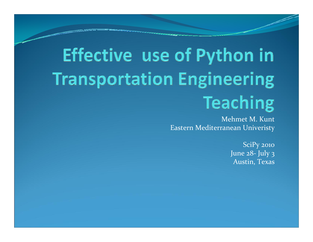# Effective use of Python in **Transportation Engineering Teaching**

Mehmet M. KuntEastern Mediterranean Univeristy

> SciPy <sup>2010</sup> June 28 ‐ July 3 Austin, Texas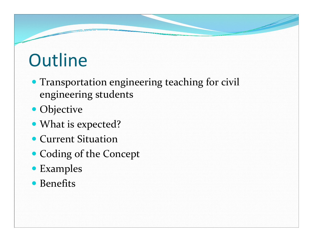### **Outline**

- Transportation engineering teaching for civil engineering students
- Objective
- What is expected?
- Current Situation
- Coding of the Concept
- Examples
- Benefits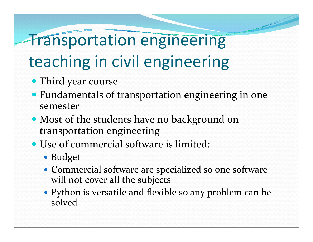#### Transportation engineering

### teaching in civil engineering

- Third year course
- Fundamentals of transportation engineering in one semester
- Most of the students have no background on transportation engineering
- Use of commercial software is limited:
	- Budget
	- Commercial software are specialized so one software will not cover all the subjects
	- Python is versatile and flexible so any problem can be solved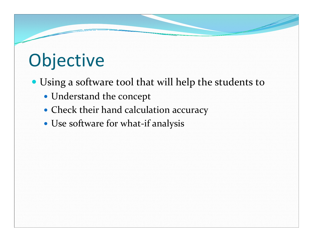## Objective

- Using a software tool that will help the students to
	- Understand the concept
	- Check their hand calculation accuracy
	- Use software for what-if analysis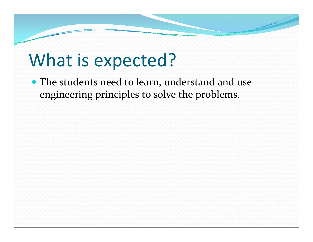#### What is expected?

• The students need to learn, understand and use engineering principles to solve the problems.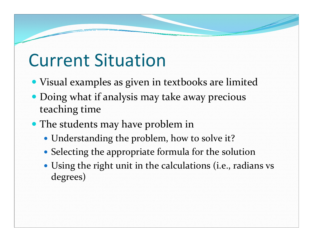- Visual examples as given in textbooks are limited
- Doing what if analysis may take away precious teaching time
- The students may have problem in
	- Understanding the problem, how to solve it?
	- Selecting the appropriate formula for the solution
	- Using the right unit in the calculations (i.e., radians vs degrees)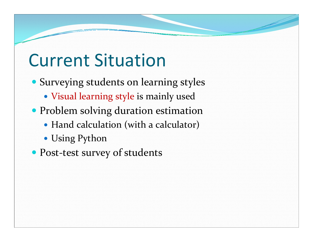- Surveying students on learning styles
	- Visual learning style is mainly used
- Problem solving duration estimation
	- Hand calculation (with a calculator)
	- Using Python
- Post-test survey of students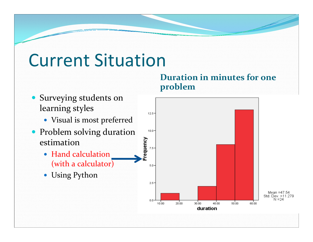

**Duration in minutes for one**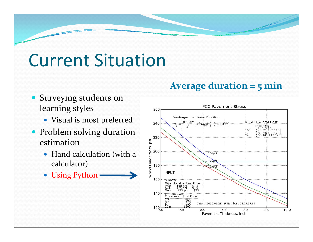- Surveying students on learning styles
	- Visual is most preferred
- Problem solving duration estimation
	- Hand calculation (with a calculator)
	- Using Python

#### **Average duration <sup>=</sup> <sup>5</sup> min**

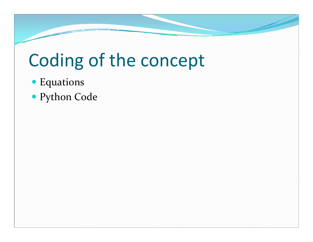### Coding of the concept

- Equations
- Python Code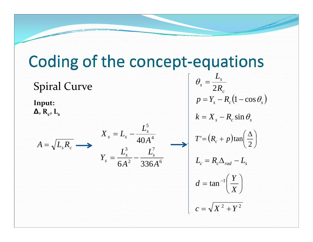#### Coding of the concept-equations *L*  $\theta_{\scriptscriptstyle s} =$ *s* Spiral Curve *s R* 2 *c*  $p = Y_c - R_c(1 - \cos \theta_s)$ **Input:**  $\Delta$ ,  $R_c$ ,  $L_s$  $k = X_{s} - R_{c} \sin \theta_{s}$ 5  $X_{s} = L_{s} - \frac{L_{s}^{3}}{10^{5}}$  $T' = (R_c + p)\tan\left(\frac{\Delta}{2}\right)$ 4 40*A*  $A=\surd L_{\scriptscriptstyle S}R_{\scriptscriptstyle c}$ 3 7  $Y_s = \frac{L_s^3}{\epsilon_0 l_s^2} - \frac{L_s^2}{225}$ *L*  $L_{\rm c}= R_{\rm c}\Delta_{\rm rad}-L_{\rm s}$ 2 6 3366 *A A*  $d = \tan^{-1}\left(\frac{Y}{Y}\right)$  $c=\sqrt{X^2+Y^2}$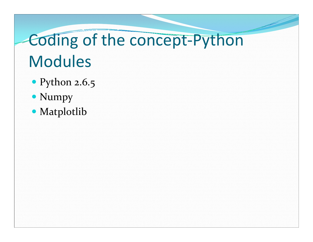# Coding of the concept-Python **Modules**

- Python 2.6.5
- Numpy
- Matplotlib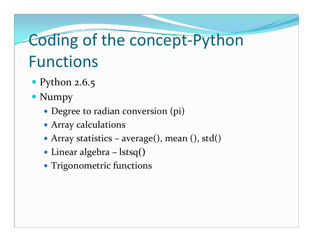#### Coding of the concept‐Python Functions

- Python 2.6.5
- Numpy
	- Degree to radian conversion (pi)
	- Array calculations
	- Array statistics average(), mean (), std()
	- y Linear algebra **–** lstsq**()**
	- Trigonometric functions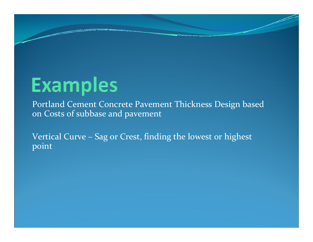## **Examples**

Portland Cement Concrete Pavement Thickness Design based on Costs of subbase and pavement

Vertical Curve - Sag or Crest, finding the lowest or highest point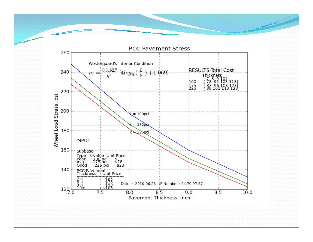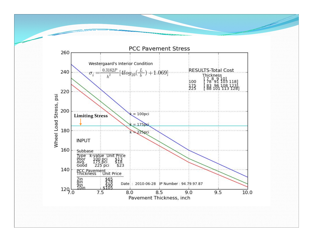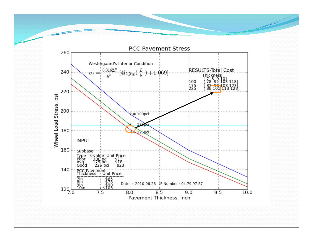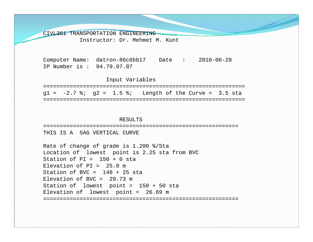CIVL361 TRANSPORTATION ENGINEERING

Instructor: Dr. Mehmet M. Kunt

Computer Name: datron-86c6bb17 Date : 2010-06-28 IP Number is : 94.79.97.87

#### Input Variables

============================================================= $q1 = -2.7$  %;  $q2 = 1.5$  %; Length of the Curve = 3.5 sta =============================================================

#### RESULTS

===========================================================

THIS IS A SAG VERTICAL CURVE

```
Rate of change of grade is 1.200 %/Sta
Location of lowest point is 2.25 sta from BVC
Station of PI = 150 + 0 sta
Elevation of PT = 25.0 mStation of BVC = 148 + 25 sta
Elevation of BVC = 29.73 \text{ m}Station of lowest point = 150 + 50 sta
Elevation of lowest point = 26.69 m
===========================================================
```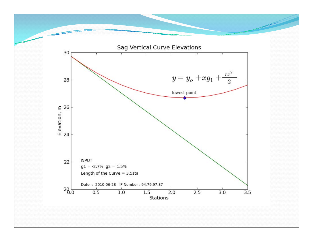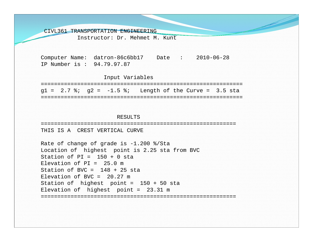CIVL361 TRANSPORTATION ENGINEERING

Instructor: Dr. Mehmet M. Kunt

Computer Name: datron-86c6bb17 Date : 2010-06-28 IP Number is : 94.79.97.87

Input Variables

============================================================= $q1 = 2.7$  %;  $q2 = -1.5$  %; Length of the Curve = 3.5 sta =============================================================

#### RESULTS

===========================================================THIS IS A CREST VERTICAL CURVE

Rate of change of grade is -1.200 %/Sta Location of highest point is 2.25 sta from BVC Station of  $PT = 150 + 0$  sta Elevation of  $PT = 25.0 m$ Station of BVC =  $148 + 25$  sta Elevation of BVC =  $20.27$  m Station of highest point = 150 + 50 sta Elevation of highest point = 23.31 m ===========================================================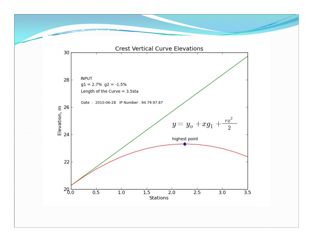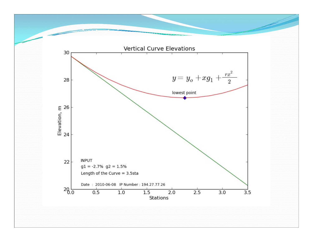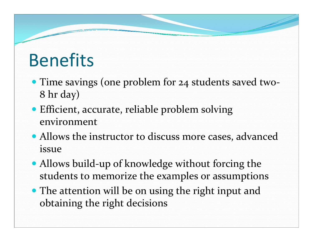#### Benefits

- Time savings (one problem for 24 students saved two-8 hr day)
- Efficient, accurate, reliable problem solving environment
- Allows the instructor to discuss more cases, advanced issue
- Allows build-up of knowledge without forcing the students to memorize the examples or assumptions
- The attention will be on using the right input and obtaining the right decisions